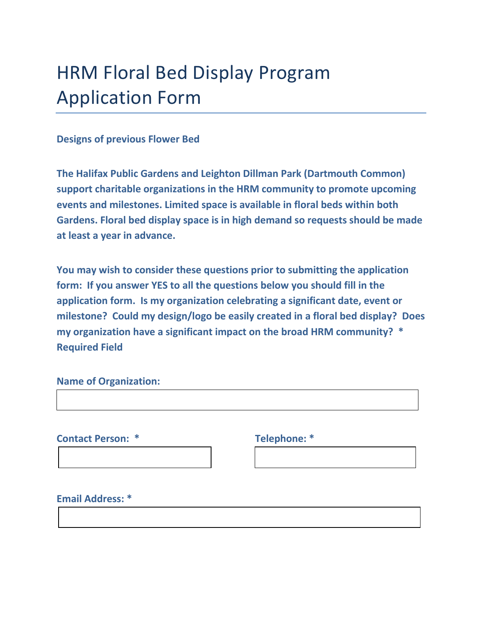# HRM Floral Bed Display Program Application Form

### **Designs of previous Flower Bed**

**The Halifax Public Gardens and Leighton Dillman Park (Dartmouth Common) support charitable organizations in the HRM community to promote upcoming events and milestones. Limited space is available in floral beds within both Gardens. Floral bed display space is in high demand so requests should be made at least a year in advance.**

**You may wish to consider these questions prior to submitting the application form: If you answer YES to all the questions below you should fill in the application form. Is my organization celebrating a significant date, event or milestone? Could my design/logo be easily created in a floral bed display? Does my organization have a significant impact on the broad HRM community? \* Required Field**

### **Name of Organization:**

**Contact Person: \* Telephone: \***

**Email Address: \***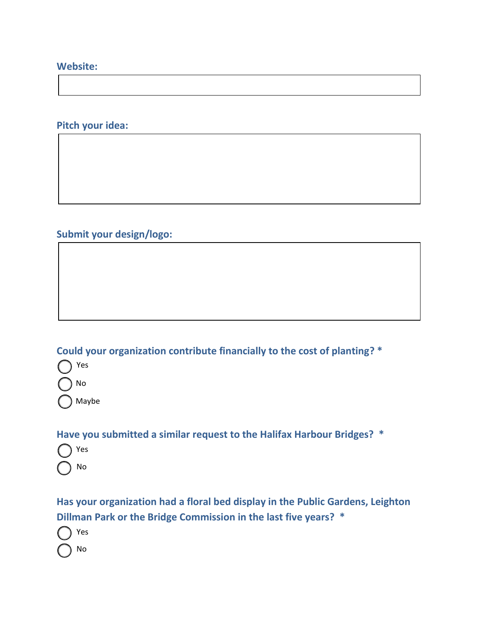### **Website:**

## **Pitch your idea:**

**Submit your design/logo:**

**Could your organization contribute financially to the cost of planting? \***

Yes No Maybe

**Have you submitted a similar request to the Halifax Harbour Bridges? \***

Yes No

**Has your organization had a floral bed display in the Public Gardens, Leighton Dillman Park or the Bridge Commission in the last five years? \***

Yes No